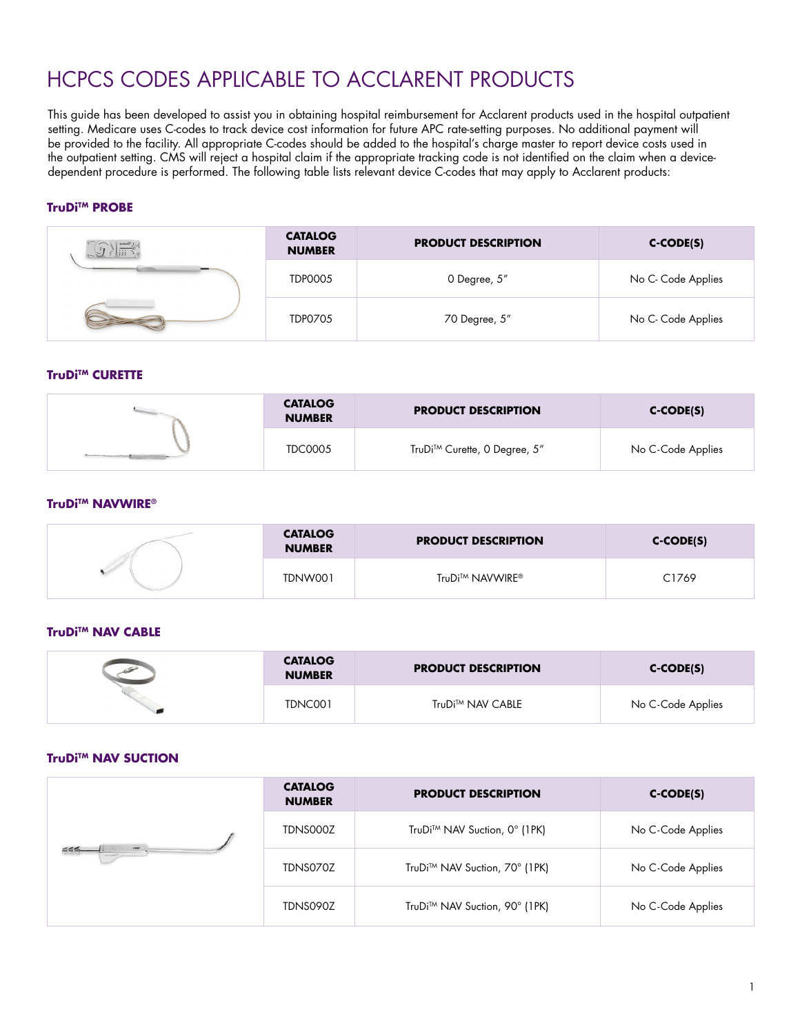# HCPCS CODES APPLICABLE TO ACCLARENT PRODUCTS

This guide has been developed to assist you in obtaining hospital reimbursement for Acclarent products used in the hospital outpatient setting. Medicare uses C-codes to track device cost information for future APC rate-setting purposes. No additional payment will be provided to the facility. All appropriate C-codes should be added to the hospital's charge master to report device costs used in the outpatient setting. CMS will reject a hospital claim if the appropriate tracking code is not identified on the claim when a devicedependent procedure is performed. The following table lists relevant device C-codes that may apply to Acclarent products:

## **TruDi™ PROBE**

| 4 m = | <b>CATALOG</b><br><b>NUMBER</b> | <b>PRODUCT DESCRIPTION</b> | $C-CODE(S)$        |
|-------|---------------------------------|----------------------------|--------------------|
|       | <b>TDP0005</b>                  | 0 Degree, 5"               | No C- Code Applies |
|       | <b>TDP0705</b>                  | 70 Degree, 5"              | No C- Code Applies |

#### **TruDi™ CURETTE**

| <b>CATALOG</b><br><b>NUMBER</b> | <b>PRODUCT DESCRIPTION</b>   | $C-CODE(S)$       |
|---------------------------------|------------------------------|-------------------|
| <b>TDC0005</b>                  | TruDi™ Curette, 0 Degree, 5" | No C-Code Applies |

#### TruDi™ NAVWIRE®

| <b>CATALOG</b><br><b>NUMBER</b> | <b>PRODUCT DESCRIPTION</b> | $C-CODE(S)$ |
|---------------------------------|----------------------------|-------------|
| TDNW001                         | TruDi™ NAVWIRE®            | C1769       |

#### **TruDi™ NAV CABLE**

| <b>CATALOG</b><br><b>NUMBER</b> | <b>PRODUCT DESCRIPTION</b> | $C-CODE(S)$       |
|---------------------------------|----------------------------|-------------------|
| TDNC001                         | TruDi™ NAV CABLE           | No C-Code Applies |

#### **TruDi™ NAV SUCTION**

| ≦≦≤∟<br>$\rightarrow$<br>Anciental | <b>CATALOG</b><br><b>NUMBER</b> | <b>PRODUCT DESCRIPTION</b>    | $C-CODE(S)$       |
|------------------------------------|---------------------------------|-------------------------------|-------------------|
|                                    | TDNS000Z                        | TruDi™ NAV Suction, 0° (1PK)  | No C-Code Applies |
|                                    | TDNS070Z                        | TruDi™ NAV Suction, 70° (1PK) | No C-Code Applies |
|                                    | TDNS090Z                        | TruDi™ NAV Suction, 90° (1PK) | No C-Code Applies |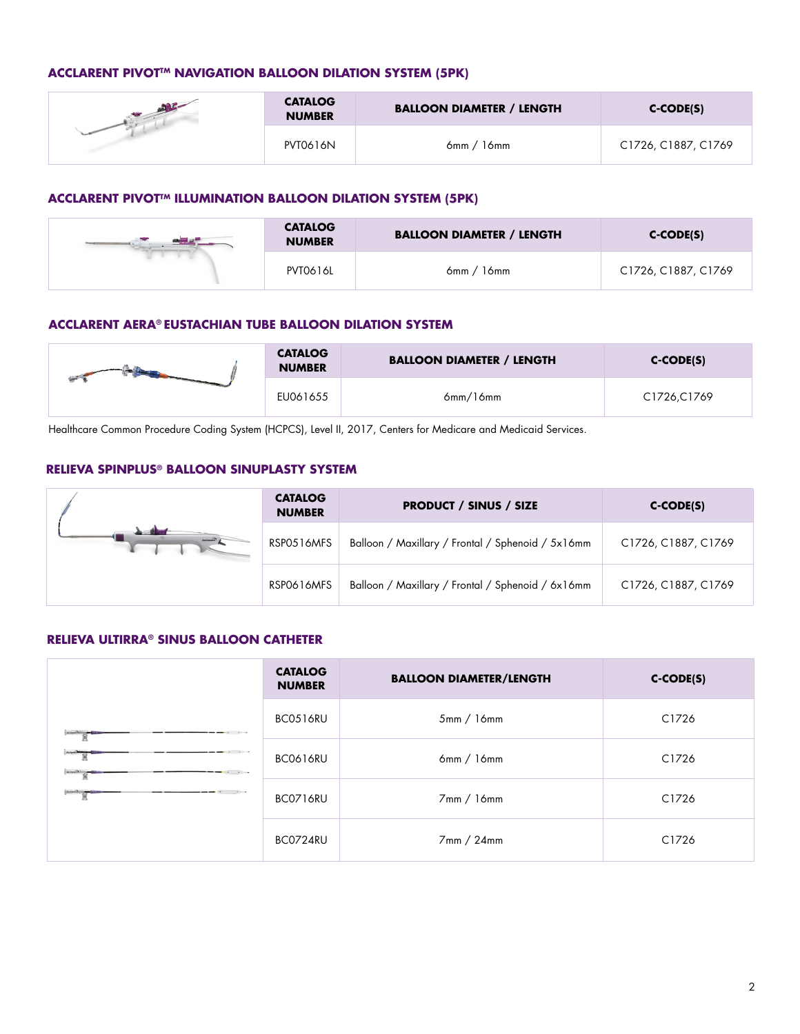# **ACCLARENT PIVOT<sup>TM</sup> NAVIGATION BALLOON DILATION SYSTEM (5PK)**

| <b>CATALOG</b><br><b>NUMBER</b> | <b>BALLOON DIAMETER / LENGTH</b> | $C-CODE(S)$         |
|---------------------------------|----------------------------------|---------------------|
| <b>PVT0616N</b>                 | 16mm<br>6mm /                    | C1726, C1887, C1769 |

#### **ACCLARENT PIVOTTM ILLUMINATION BALLOON DILATION SYSTEM (5PK)**

| <b>CATALOG</b><br><b>NUMBER</b> | <b>BALLOON DIAMETER / LENGTH</b> | $C-CODE(S)$         |
|---------------------------------|----------------------------------|---------------------|
| <b>PVT0616L</b>                 | 16mm<br>6mm /                    | C1726, C1887, C1769 |

# **ACCLARENT AERA® EUSTACHIAN TUBE BALLOON DILATION SYSTEM**

| <b>CATALOG</b><br><b>NUMBER</b> | <b>BALLOON DIAMETER / LENGTH</b> | $C-CODE(S)$ |
|---------------------------------|----------------------------------|-------------|
| EU061655                        | 6mm/l6mm                         | C1726,C1769 |

Healthcare Common Procedure Coding System (HCPCS), Level II, 2017, Centers for Medicare and Medicaid Services.

#### **RELIEVA SPINPLUS® BALLOON SINUPLASTY SYSTEM**

|          | <b>CATALOG</b><br><b>NUMBER</b> | <b>PRODUCT / SINUS / SIZE</b>                     | $C-CODE(S)$         |
|----------|---------------------------------|---------------------------------------------------|---------------------|
| Acctarec | RSP0516MFS                      | Balloon / Maxillary / Frontal / Sphenoid / 5x16mm | C1726, C1887, C1769 |
|          | RSP0616MFS                      | Balloon / Maxillary / Frontal / Sphenoid / 6x16mm | C1726, C1887, C1769 |

# **RELIEVA ULTIRRA® SINUS BALLOON CATHETER**

|                                 | <b>CATALOG</b><br><b>NUMBER</b> | <b>BALLOON DIAMETER/LENGTH</b> | $C-CODE(S)$ |
|---------------------------------|---------------------------------|--------------------------------|-------------|
| Accurate Manager                | BC0516RU                        | 5mm/16mm                       | C1726       |
| Accored 1<br>$\cdots$<br>$\sim$ | BC0616RU                        | 6mm/16mm                       | C1726       |
|                                 | BC0716RU                        | 7mm / 16mm                     | C1726       |
|                                 | BC0724RU                        | 7mm / 24mm                     | C1726       |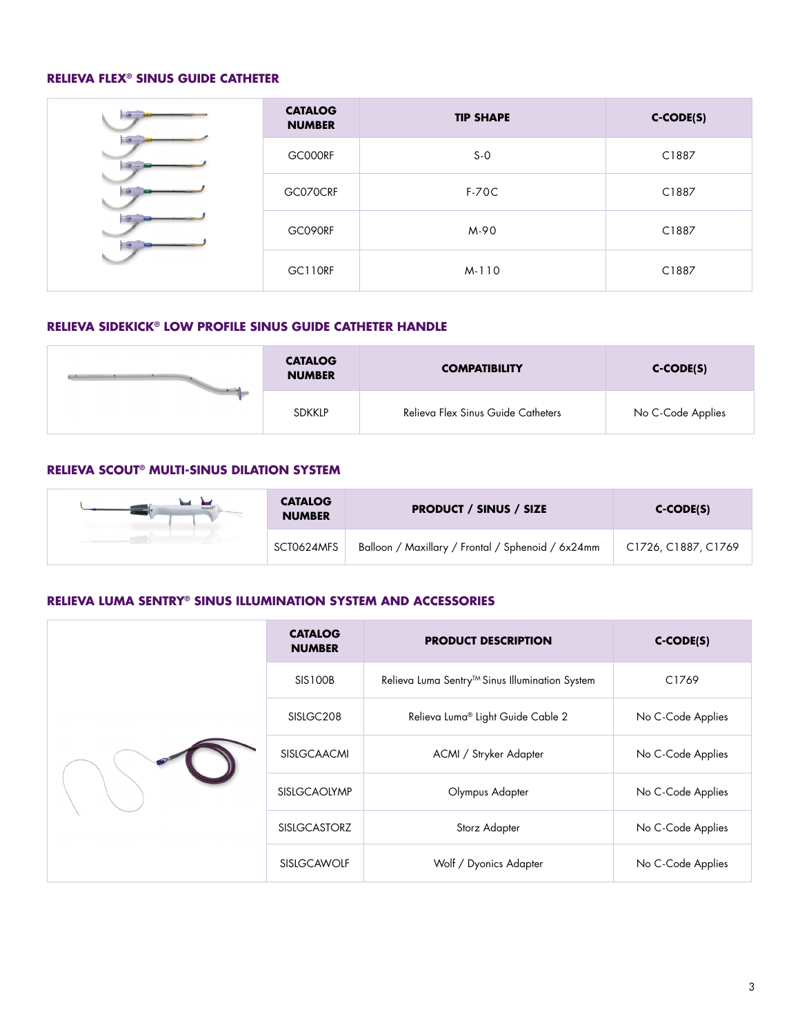# **RELIEVA FLEX® SINUS GUIDE CATHETER**

| <b>CATALOG</b><br><b>NUMBER</b> | <b>TIP SHAPE</b> | $C-CODE(S)$ |
|---------------------------------|------------------|-------------|
| GC000RF                         | $S-0$            | C1887       |
| GC070CRF                        | $F-70C$          | C1887       |
| GC090RF                         | M-90             | C1887       |
| GC110RF                         | M-110            | C1887       |

# **RELIEVA SIDEKICK® LOW PROFILE SINUS GUIDE CATHETER HANDLE**

| <b>Service</b> | <b>CATALOG</b><br><b>NUMBER</b> | <b>COMPATIBILITY</b>               | $C-CODE(S)$       |
|----------------|---------------------------------|------------------------------------|-------------------|
|                | <b>SDKKLP</b>                   | Relieva Flex Sinus Guide Catheters | No C-Code Applies |

## **RELIEVA SCOUT® MULTI-SINUS DILATION SYSTEM**

| <b>CATALOG</b><br><b>NUMBER</b> | <b>PRODUCT / SINUS / SIZE</b>                     | C-CODE(S)           |
|---------------------------------|---------------------------------------------------|---------------------|
| SCT0624MFS                      | Balloon / Maxillary / Frontal / Sphenoid / 6x24mm | C1726, C1887, C1769 |

## **RELIEVA LUMA SENTRY® SINUS ILLUMINATION SYSTEM AND ACCESSORIES**

|  | <b>CATALOG</b><br><b>NUMBER</b> | <b>PRODUCT DESCRIPTION</b>                     | $C-CODE(S)$       |
|--|---------------------------------|------------------------------------------------|-------------------|
|  | <b>SIS100B</b>                  | Relieva Luma Sentry™ Sinus Illumination System | C1769             |
|  | SISLGC <sub>208</sub>           | Relieva Luma® Light Guide Cable 2              | No C-Code Applies |
|  | <b>SISLGCAACMI</b>              | ACMI / Stryker Adapter                         | No C-Code Applies |
|  | <b>SISLGCAOLYMP</b>             | Olympus Adapter                                | No C-Code Applies |
|  | <b>SISLGCASTORZ</b>             | Storz Adapter                                  | No C-Code Applies |
|  | <b>SISLGCAWOLF</b>              | Wolf / Dyonics Adapter                         | No C-Code Applies |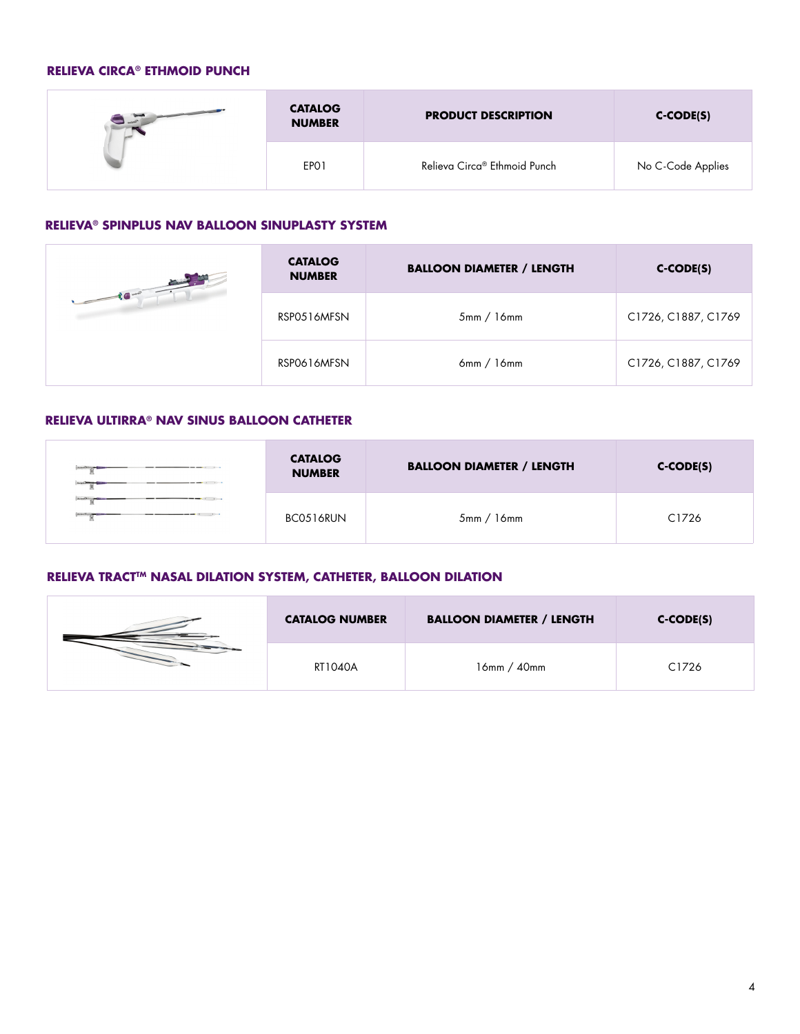# **RELIEVA CIRCA® ETHMOID PUNCH**

| $\frac{1}{\sqrt{2}}$ actor <sup>2</sup> | <b>CATALOG</b><br><b>NUMBER</b> | <b>PRODUCT DESCRIPTION</b>   | $C-CODE(S)$       |
|-----------------------------------------|---------------------------------|------------------------------|-------------------|
|                                         | EPO1                            | Relieva Circa® Ethmoid Punch | No C-Code Applies |

## **RELIEVA® SPINPLUS NAV BALLOON SINUPLASTY SYSTEM**

| $\begin{array}{c c c c c c} \hline \multicolumn{3}{c }{\textbf{1}} & \multicolumn{3}{c }{\textbf{2}} & \multicolumn{3}{c }{\textbf{3}} & \multicolumn{3}{c }{\textbf{4}} & \multicolumn{3}{c }{\textbf{5}} & \multicolumn{3}{c }{\textbf{6}} & \multicolumn{3}{c }{\textbf{7}} & \multicolumn{3}{c }{\textbf{8}} & \multicolumn{3}{c }{\textbf{9}} & \multicolumn{3}{c }{\textbf{1}} & \multicolumn{3}{c }{\textbf{1}} & \multicolumn{3}{c }{\textbf$ | <b>CATALOG</b><br><b>NUMBER</b> | <b>BALLOON DIAMETER / LENGTH</b> | $C-CODE(S)$         |
|-------------------------------------------------------------------------------------------------------------------------------------------------------------------------------------------------------------------------------------------------------------------------------------------------------------------------------------------------------------------------------------------------------------------------------------------------------|---------------------------------|----------------------------------|---------------------|
|                                                                                                                                                                                                                                                                                                                                                                                                                                                       | RSP0516MFSN                     | 5mm/16mm                         | C1726, C1887, C1769 |
|                                                                                                                                                                                                                                                                                                                                                                                                                                                       | RSP0616MFSN                     | 6mm / 16mm                       | C1726, C1887, C1769 |

## **RELIEVA ULTIRRA® NAV SINUS BALLOON CATHETER**

| Sisteman<br><b><i><u>Automobiles</u></i></b> | <b>CATALOG</b><br><b>NUMBER</b> | <b>BALLOON DIAMETER / LENGTH</b> | $C-CODE(S)$ |
|----------------------------------------------|---------------------------------|----------------------------------|-------------|
|                                              | BC0516RUN                       | 5mm/16mm                         | C1726       |

# **RELIEVA TRACT™ NASAL DILATION SYSTEM, CATHETER, BALLOON DILATION**

| <b>CATALOG NUMBER</b> | <b>BALLOON DIAMETER / LENGTH</b> | $C-CODE(S)$ |
|-----------------------|----------------------------------|-------------|
| RT1040A               | $16$ mm / $40$ mm                | C1726       |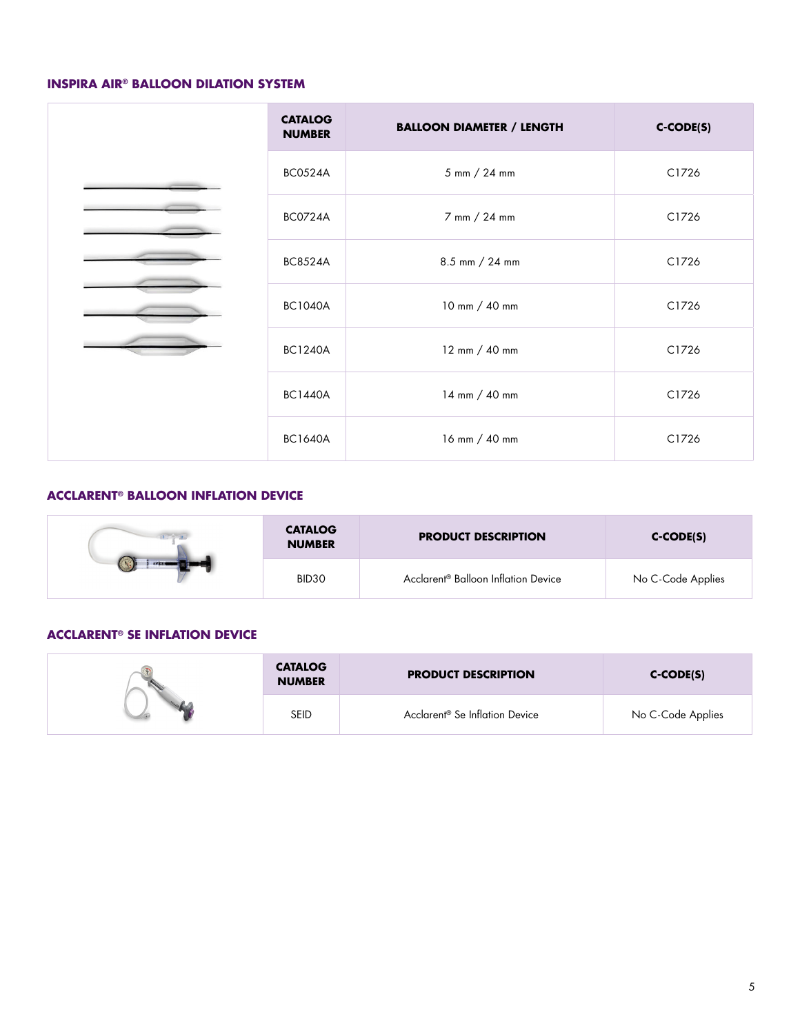#### **INSPIRA AIR® BALLOON DILATION SYSTEM**

| <b>CATALOG</b><br><b>NUMBER</b> | <b>BALLOON DIAMETER / LENGTH</b> | C-CODE(S) |
|---------------------------------|----------------------------------|-----------|
| <b>BC0524A</b>                  | 5 mm / 24 mm                     | C1726     |
| <b>BC0724A</b>                  | 7 mm / 24 mm                     | C1726     |
| <b>BC8524A</b>                  | 8.5 mm / 24 mm                   | C1726     |
| <b>BC1040A</b>                  | 10 mm / 40 mm                    | C1726     |
| <b>BC1240A</b>                  | 12 mm / 40 mm                    | C1726     |
| <b>BC1440A</b>                  | 14 mm / 40 mm                    | C1726     |
| <b>BC1640A</b>                  | 16 mm / 40 mm                    | C1726     |

# **ACCLARENT® BALLOON INFLATION DEVICE**

|                | <b>CATALOG</b><br><b>NUMBER</b> | <b>PRODUCT DESCRIPTION</b>                      | $C-CODE(S)$       |
|----------------|---------------------------------|-------------------------------------------------|-------------------|
| <b>EFERING</b> | BID <sub>30</sub>               | Acclarent <sup>®</sup> Balloon Inflation Device | No C-Code Applies |

## **ACCLARENT® SE INFLATION DEVICE**

| <b>CATALOG</b><br><b>NUMBER</b> | <b>PRODUCT DESCRIPTION</b>                 | $C-CODE(S)$       |
|---------------------------------|--------------------------------------------|-------------------|
| seid                            | Acclarent <sup>®</sup> Se Inflation Device | No C-Code Applies |